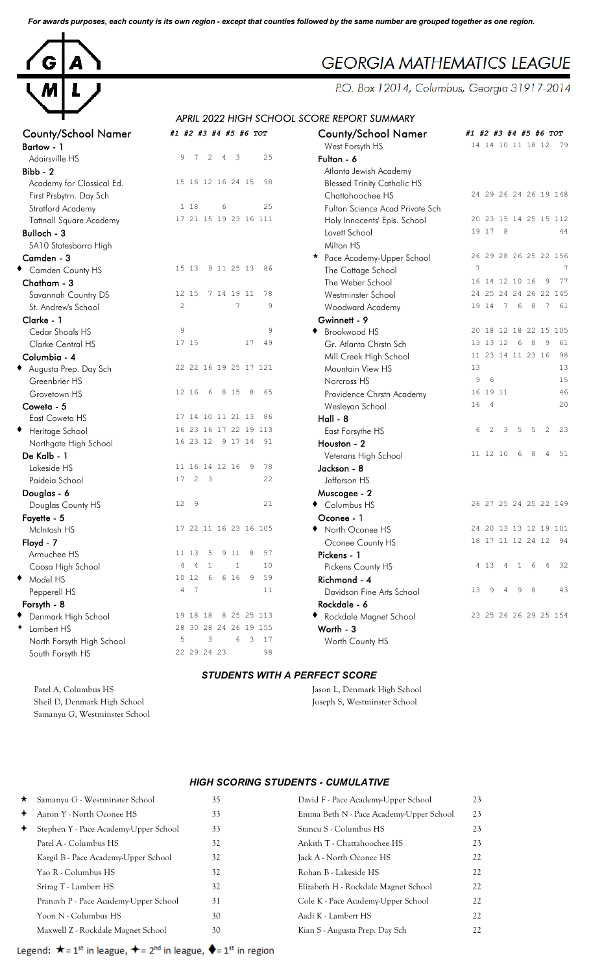*For awards purposes, each county is its own region - except that counties followed by the same number are grouped together as one region.*



## **GEORGIA MATHEMATICS LEAGUE**

P.O. Box 12014, Columbus, Georgia 31917-2014

## *APRIL 2022 HIGH SCHOOL SCORE REPORT SUMMARY*

| West Forsyth HS<br>Bartow - 1<br>25<br>9<br>7<br>2<br>$\overline{\mathbf{3}}$<br>Adairsville HS<br>$\overline{4}$<br>Fulton - 6<br>Bibb - 2<br>Atlanta Jewish Academy<br>15 16 12 16 24 15<br>98<br>Academy for Classical Ed.<br><b>Blessed Trinity Catholic HS</b><br>Chattahoochee HS<br>First Prsbytrn. Day Sch<br>25<br>1 18<br>6<br>Stratford Academy<br>Fulton Science Acad Private Sch<br>17 21 15 19 23 16 111<br><b>Tattnall Square Academy</b><br>Holy Innocents' Epis. School<br>19 17 8<br>Bulloch - 3<br>Lovett School<br>Milton HS<br>SA10 Statesborro High<br>Camden - 3<br>* Pace Academy-Upper School<br>9 11 25 13<br>7<br>15 13<br>- 86<br>Camden County HS<br>The Cottage School<br>16 14 12 10 16<br>The Weber School<br>Chatham - 3<br>7 14 19 11<br>78<br>12 15<br>Savannah Country DS<br>Westminster School<br>$\overline{c}$<br>7<br>19 14 7 6<br>8<br>9<br>St. Andrew's School<br>Woodward Academy<br>Clarke - 1<br>Gwinnett - 9<br>9<br>9<br>Cedar Shoals HS<br>◆ Brookwood HS<br>49<br>17 15<br>17<br>13 13 12 6<br>- 8<br>Clarke Central HS<br>Gr. Atlanta Chrstn Sch<br>Columbia - 4<br>Mill Creek High School<br>Augusta Prep. Day Sch<br>22 22 16 19 25 17 121<br>13<br>Mountain View HS<br>6<br>9<br>Greenbrier HS<br>Norcross HS<br>8 15<br>8<br>65<br>16 19 11<br>12 16<br>6<br>Grovetown HS<br>Providence Chrstn Academy<br>16<br>$\overline{4}$<br>Coweta - 5<br>Wesleyan School<br>17 14 10 11 21 13<br>86<br>$Hall - 8$<br>East Coweta HS<br>16 23 16 17 22 19 113<br>2<br>5<br>5<br>◆ Heritage School<br>6<br>3<br>East Forsythe HS<br>16 23 12 9 17 14 91<br>Houston - 2<br>Northgate High School<br>11 12 10<br>6<br>8<br>De Kalb - 1<br>Veterans High School<br>11 16 14 12 16<br>- 9<br>78<br>Lakeside HS<br>Jackson - 8<br>2 <sup>3</sup><br>22<br>Paideia School<br>17<br>Jefferson HS<br>Douglas - 6<br>Muscogee - 2<br>9<br>21<br>Columbus HS<br>12 <sup>°</sup><br>Douglas County HS<br>Fayette - 5<br>Oconee - 1<br>17 22 11 16 23 16 105<br>◆ North Oconee HS<br>McIntosh HS<br>Floyd - 7<br>Oconee County HS<br>11 13<br>5 9 11<br>$_{\rm 8}$<br>57<br>Armuchee HS<br>Pickens - 1<br>Coosa High School<br>4<br>$\overline{4}$<br>10<br>Pickens County HS<br>4 13<br>4<br>$\mathbf{1}$<br>6<br>6 6 16<br>Model HS<br>10 12<br>- 9<br>59<br>Richmond - 4<br>٠<br>4<br>$7\phantom{.0}$<br>11<br>13 <sup>°</sup><br>9<br>9<br>- 8<br>Pepperell HS<br>Davidson Fine Arts School<br>4<br>Rockdale - 6<br>Forsyth - 8<br>8 25 25 113<br>◆ Denmark High School<br>19 18 18<br>◆ Rockdale Magnet School<br>+ Lambert HS<br>28 30 28 24 26 19 155<br>Worth - 3 | <b>County/School Namer</b> | #1 #2 #3 #4 #5 #6 TOT  | <b>County/School Namer</b> | #1 #2 #3 #4 #5 #6 TOT |
|----------------------------------------------------------------------------------------------------------------------------------------------------------------------------------------------------------------------------------------------------------------------------------------------------------------------------------------------------------------------------------------------------------------------------------------------------------------------------------------------------------------------------------------------------------------------------------------------------------------------------------------------------------------------------------------------------------------------------------------------------------------------------------------------------------------------------------------------------------------------------------------------------------------------------------------------------------------------------------------------------------------------------------------------------------------------------------------------------------------------------------------------------------------------------------------------------------------------------------------------------------------------------------------------------------------------------------------------------------------------------------------------------------------------------------------------------------------------------------------------------------------------------------------------------------------------------------------------------------------------------------------------------------------------------------------------------------------------------------------------------------------------------------------------------------------------------------------------------------------------------------------------------------------------------------------------------------------------------------------------------------------------------------------------------------------------------------------------------------------------------------------------------------------------------------------------------------------------------------------------------------------------------------------------------------------------------------------------------------------------------------------------------------------------------------------------------------------------------------------------------------------------------------------------------------------------------------------------------------|----------------------------|------------------------|----------------------------|-----------------------|
|                                                                                                                                                                                                                                                                                                                                                                                                                                                                                                                                                                                                                                                                                                                                                                                                                                                                                                                                                                                                                                                                                                                                                                                                                                                                                                                                                                                                                                                                                                                                                                                                                                                                                                                                                                                                                                                                                                                                                                                                                                                                                                                                                                                                                                                                                                                                                                                                                                                                                                                                                                                                          |                            |                        |                            | 14 14 10 11 18 12 79  |
|                                                                                                                                                                                                                                                                                                                                                                                                                                                                                                                                                                                                                                                                                                                                                                                                                                                                                                                                                                                                                                                                                                                                                                                                                                                                                                                                                                                                                                                                                                                                                                                                                                                                                                                                                                                                                                                                                                                                                                                                                                                                                                                                                                                                                                                                                                                                                                                                                                                                                                                                                                                                          |                            |                        |                            |                       |
|                                                                                                                                                                                                                                                                                                                                                                                                                                                                                                                                                                                                                                                                                                                                                                                                                                                                                                                                                                                                                                                                                                                                                                                                                                                                                                                                                                                                                                                                                                                                                                                                                                                                                                                                                                                                                                                                                                                                                                                                                                                                                                                                                                                                                                                                                                                                                                                                                                                                                                                                                                                                          |                            |                        |                            |                       |
|                                                                                                                                                                                                                                                                                                                                                                                                                                                                                                                                                                                                                                                                                                                                                                                                                                                                                                                                                                                                                                                                                                                                                                                                                                                                                                                                                                                                                                                                                                                                                                                                                                                                                                                                                                                                                                                                                                                                                                                                                                                                                                                                                                                                                                                                                                                                                                                                                                                                                                                                                                                                          |                            |                        |                            |                       |
|                                                                                                                                                                                                                                                                                                                                                                                                                                                                                                                                                                                                                                                                                                                                                                                                                                                                                                                                                                                                                                                                                                                                                                                                                                                                                                                                                                                                                                                                                                                                                                                                                                                                                                                                                                                                                                                                                                                                                                                                                                                                                                                                                                                                                                                                                                                                                                                                                                                                                                                                                                                                          |                            |                        |                            | 24 29 26 24 26 19 148 |
|                                                                                                                                                                                                                                                                                                                                                                                                                                                                                                                                                                                                                                                                                                                                                                                                                                                                                                                                                                                                                                                                                                                                                                                                                                                                                                                                                                                                                                                                                                                                                                                                                                                                                                                                                                                                                                                                                                                                                                                                                                                                                                                                                                                                                                                                                                                                                                                                                                                                                                                                                                                                          |                            |                        |                            |                       |
|                                                                                                                                                                                                                                                                                                                                                                                                                                                                                                                                                                                                                                                                                                                                                                                                                                                                                                                                                                                                                                                                                                                                                                                                                                                                                                                                                                                                                                                                                                                                                                                                                                                                                                                                                                                                                                                                                                                                                                                                                                                                                                                                                                                                                                                                                                                                                                                                                                                                                                                                                                                                          |                            |                        |                            | 20 23 15 14 25 15 112 |
|                                                                                                                                                                                                                                                                                                                                                                                                                                                                                                                                                                                                                                                                                                                                                                                                                                                                                                                                                                                                                                                                                                                                                                                                                                                                                                                                                                                                                                                                                                                                                                                                                                                                                                                                                                                                                                                                                                                                                                                                                                                                                                                                                                                                                                                                                                                                                                                                                                                                                                                                                                                                          |                            |                        |                            | 44                    |
|                                                                                                                                                                                                                                                                                                                                                                                                                                                                                                                                                                                                                                                                                                                                                                                                                                                                                                                                                                                                                                                                                                                                                                                                                                                                                                                                                                                                                                                                                                                                                                                                                                                                                                                                                                                                                                                                                                                                                                                                                                                                                                                                                                                                                                                                                                                                                                                                                                                                                                                                                                                                          |                            |                        |                            |                       |
|                                                                                                                                                                                                                                                                                                                                                                                                                                                                                                                                                                                                                                                                                                                                                                                                                                                                                                                                                                                                                                                                                                                                                                                                                                                                                                                                                                                                                                                                                                                                                                                                                                                                                                                                                                                                                                                                                                                                                                                                                                                                                                                                                                                                                                                                                                                                                                                                                                                                                                                                                                                                          |                            |                        |                            | 26 29 28 26 25 22 156 |
|                                                                                                                                                                                                                                                                                                                                                                                                                                                                                                                                                                                                                                                                                                                                                                                                                                                                                                                                                                                                                                                                                                                                                                                                                                                                                                                                                                                                                                                                                                                                                                                                                                                                                                                                                                                                                                                                                                                                                                                                                                                                                                                                                                                                                                                                                                                                                                                                                                                                                                                                                                                                          |                            |                        |                            |                       |
|                                                                                                                                                                                                                                                                                                                                                                                                                                                                                                                                                                                                                                                                                                                                                                                                                                                                                                                                                                                                                                                                                                                                                                                                                                                                                                                                                                                                                                                                                                                                                                                                                                                                                                                                                                                                                                                                                                                                                                                                                                                                                                                                                                                                                                                                                                                                                                                                                                                                                                                                                                                                          |                            |                        |                            | 77<br>9               |
|                                                                                                                                                                                                                                                                                                                                                                                                                                                                                                                                                                                                                                                                                                                                                                                                                                                                                                                                                                                                                                                                                                                                                                                                                                                                                                                                                                                                                                                                                                                                                                                                                                                                                                                                                                                                                                                                                                                                                                                                                                                                                                                                                                                                                                                                                                                                                                                                                                                                                                                                                                                                          |                            |                        |                            | 24 25 24 24 26 22 145 |
|                                                                                                                                                                                                                                                                                                                                                                                                                                                                                                                                                                                                                                                                                                                                                                                                                                                                                                                                                                                                                                                                                                                                                                                                                                                                                                                                                                                                                                                                                                                                                                                                                                                                                                                                                                                                                                                                                                                                                                                                                                                                                                                                                                                                                                                                                                                                                                                                                                                                                                                                                                                                          |                            |                        |                            | 7 61                  |
|                                                                                                                                                                                                                                                                                                                                                                                                                                                                                                                                                                                                                                                                                                                                                                                                                                                                                                                                                                                                                                                                                                                                                                                                                                                                                                                                                                                                                                                                                                                                                                                                                                                                                                                                                                                                                                                                                                                                                                                                                                                                                                                                                                                                                                                                                                                                                                                                                                                                                                                                                                                                          |                            |                        |                            |                       |
|                                                                                                                                                                                                                                                                                                                                                                                                                                                                                                                                                                                                                                                                                                                                                                                                                                                                                                                                                                                                                                                                                                                                                                                                                                                                                                                                                                                                                                                                                                                                                                                                                                                                                                                                                                                                                                                                                                                                                                                                                                                                                                                                                                                                                                                                                                                                                                                                                                                                                                                                                                                                          |                            |                        |                            | 20 18 12 18 22 15 105 |
|                                                                                                                                                                                                                                                                                                                                                                                                                                                                                                                                                                                                                                                                                                                                                                                                                                                                                                                                                                                                                                                                                                                                                                                                                                                                                                                                                                                                                                                                                                                                                                                                                                                                                                                                                                                                                                                                                                                                                                                                                                                                                                                                                                                                                                                                                                                                                                                                                                                                                                                                                                                                          |                            |                        |                            | 9<br>61               |
|                                                                                                                                                                                                                                                                                                                                                                                                                                                                                                                                                                                                                                                                                                                                                                                                                                                                                                                                                                                                                                                                                                                                                                                                                                                                                                                                                                                                                                                                                                                                                                                                                                                                                                                                                                                                                                                                                                                                                                                                                                                                                                                                                                                                                                                                                                                                                                                                                                                                                                                                                                                                          |                            |                        |                            | 11 23 14 11 23 16 98  |
|                                                                                                                                                                                                                                                                                                                                                                                                                                                                                                                                                                                                                                                                                                                                                                                                                                                                                                                                                                                                                                                                                                                                                                                                                                                                                                                                                                                                                                                                                                                                                                                                                                                                                                                                                                                                                                                                                                                                                                                                                                                                                                                                                                                                                                                                                                                                                                                                                                                                                                                                                                                                          |                            |                        |                            | 13                    |
|                                                                                                                                                                                                                                                                                                                                                                                                                                                                                                                                                                                                                                                                                                                                                                                                                                                                                                                                                                                                                                                                                                                                                                                                                                                                                                                                                                                                                                                                                                                                                                                                                                                                                                                                                                                                                                                                                                                                                                                                                                                                                                                                                                                                                                                                                                                                                                                                                                                                                                                                                                                                          |                            |                        |                            | 15                    |
|                                                                                                                                                                                                                                                                                                                                                                                                                                                                                                                                                                                                                                                                                                                                                                                                                                                                                                                                                                                                                                                                                                                                                                                                                                                                                                                                                                                                                                                                                                                                                                                                                                                                                                                                                                                                                                                                                                                                                                                                                                                                                                                                                                                                                                                                                                                                                                                                                                                                                                                                                                                                          |                            |                        |                            | 46                    |
|                                                                                                                                                                                                                                                                                                                                                                                                                                                                                                                                                                                                                                                                                                                                                                                                                                                                                                                                                                                                                                                                                                                                                                                                                                                                                                                                                                                                                                                                                                                                                                                                                                                                                                                                                                                                                                                                                                                                                                                                                                                                                                                                                                                                                                                                                                                                                                                                                                                                                                                                                                                                          |                            |                        |                            | 20                    |
|                                                                                                                                                                                                                                                                                                                                                                                                                                                                                                                                                                                                                                                                                                                                                                                                                                                                                                                                                                                                                                                                                                                                                                                                                                                                                                                                                                                                                                                                                                                                                                                                                                                                                                                                                                                                                                                                                                                                                                                                                                                                                                                                                                                                                                                                                                                                                                                                                                                                                                                                                                                                          |                            |                        |                            |                       |
|                                                                                                                                                                                                                                                                                                                                                                                                                                                                                                                                                                                                                                                                                                                                                                                                                                                                                                                                                                                                                                                                                                                                                                                                                                                                                                                                                                                                                                                                                                                                                                                                                                                                                                                                                                                                                                                                                                                                                                                                                                                                                                                                                                                                                                                                                                                                                                                                                                                                                                                                                                                                          |                            |                        |                            | $\overline{c}$<br>23  |
|                                                                                                                                                                                                                                                                                                                                                                                                                                                                                                                                                                                                                                                                                                                                                                                                                                                                                                                                                                                                                                                                                                                                                                                                                                                                                                                                                                                                                                                                                                                                                                                                                                                                                                                                                                                                                                                                                                                                                                                                                                                                                                                                                                                                                                                                                                                                                                                                                                                                                                                                                                                                          |                            |                        |                            |                       |
|                                                                                                                                                                                                                                                                                                                                                                                                                                                                                                                                                                                                                                                                                                                                                                                                                                                                                                                                                                                                                                                                                                                                                                                                                                                                                                                                                                                                                                                                                                                                                                                                                                                                                                                                                                                                                                                                                                                                                                                                                                                                                                                                                                                                                                                                                                                                                                                                                                                                                                                                                                                                          |                            |                        |                            | 51<br>4               |
|                                                                                                                                                                                                                                                                                                                                                                                                                                                                                                                                                                                                                                                                                                                                                                                                                                                                                                                                                                                                                                                                                                                                                                                                                                                                                                                                                                                                                                                                                                                                                                                                                                                                                                                                                                                                                                                                                                                                                                                                                                                                                                                                                                                                                                                                                                                                                                                                                                                                                                                                                                                                          |                            |                        |                            |                       |
|                                                                                                                                                                                                                                                                                                                                                                                                                                                                                                                                                                                                                                                                                                                                                                                                                                                                                                                                                                                                                                                                                                                                                                                                                                                                                                                                                                                                                                                                                                                                                                                                                                                                                                                                                                                                                                                                                                                                                                                                                                                                                                                                                                                                                                                                                                                                                                                                                                                                                                                                                                                                          |                            |                        |                            |                       |
|                                                                                                                                                                                                                                                                                                                                                                                                                                                                                                                                                                                                                                                                                                                                                                                                                                                                                                                                                                                                                                                                                                                                                                                                                                                                                                                                                                                                                                                                                                                                                                                                                                                                                                                                                                                                                                                                                                                                                                                                                                                                                                                                                                                                                                                                                                                                                                                                                                                                                                                                                                                                          |                            |                        |                            |                       |
|                                                                                                                                                                                                                                                                                                                                                                                                                                                                                                                                                                                                                                                                                                                                                                                                                                                                                                                                                                                                                                                                                                                                                                                                                                                                                                                                                                                                                                                                                                                                                                                                                                                                                                                                                                                                                                                                                                                                                                                                                                                                                                                                                                                                                                                                                                                                                                                                                                                                                                                                                                                                          |                            |                        |                            | 26 27 25 24 25 22 149 |
|                                                                                                                                                                                                                                                                                                                                                                                                                                                                                                                                                                                                                                                                                                                                                                                                                                                                                                                                                                                                                                                                                                                                                                                                                                                                                                                                                                                                                                                                                                                                                                                                                                                                                                                                                                                                                                                                                                                                                                                                                                                                                                                                                                                                                                                                                                                                                                                                                                                                                                                                                                                                          |                            |                        |                            |                       |
|                                                                                                                                                                                                                                                                                                                                                                                                                                                                                                                                                                                                                                                                                                                                                                                                                                                                                                                                                                                                                                                                                                                                                                                                                                                                                                                                                                                                                                                                                                                                                                                                                                                                                                                                                                                                                                                                                                                                                                                                                                                                                                                                                                                                                                                                                                                                                                                                                                                                                                                                                                                                          |                            |                        |                            | 24 20 13 13 12 19 101 |
|                                                                                                                                                                                                                                                                                                                                                                                                                                                                                                                                                                                                                                                                                                                                                                                                                                                                                                                                                                                                                                                                                                                                                                                                                                                                                                                                                                                                                                                                                                                                                                                                                                                                                                                                                                                                                                                                                                                                                                                                                                                                                                                                                                                                                                                                                                                                                                                                                                                                                                                                                                                                          |                            |                        |                            | 18 17 11 12 24 12 94  |
|                                                                                                                                                                                                                                                                                                                                                                                                                                                                                                                                                                                                                                                                                                                                                                                                                                                                                                                                                                                                                                                                                                                                                                                                                                                                                                                                                                                                                                                                                                                                                                                                                                                                                                                                                                                                                                                                                                                                                                                                                                                                                                                                                                                                                                                                                                                                                                                                                                                                                                                                                                                                          |                            |                        |                            |                       |
|                                                                                                                                                                                                                                                                                                                                                                                                                                                                                                                                                                                                                                                                                                                                                                                                                                                                                                                                                                                                                                                                                                                                                                                                                                                                                                                                                                                                                                                                                                                                                                                                                                                                                                                                                                                                                                                                                                                                                                                                                                                                                                                                                                                                                                                                                                                                                                                                                                                                                                                                                                                                          |                            |                        |                            | 4<br>32               |
|                                                                                                                                                                                                                                                                                                                                                                                                                                                                                                                                                                                                                                                                                                                                                                                                                                                                                                                                                                                                                                                                                                                                                                                                                                                                                                                                                                                                                                                                                                                                                                                                                                                                                                                                                                                                                                                                                                                                                                                                                                                                                                                                                                                                                                                                                                                                                                                                                                                                                                                                                                                                          |                            |                        |                            |                       |
|                                                                                                                                                                                                                                                                                                                                                                                                                                                                                                                                                                                                                                                                                                                                                                                                                                                                                                                                                                                                                                                                                                                                                                                                                                                                                                                                                                                                                                                                                                                                                                                                                                                                                                                                                                                                                                                                                                                                                                                                                                                                                                                                                                                                                                                                                                                                                                                                                                                                                                                                                                                                          |                            |                        |                            | 43                    |
|                                                                                                                                                                                                                                                                                                                                                                                                                                                                                                                                                                                                                                                                                                                                                                                                                                                                                                                                                                                                                                                                                                                                                                                                                                                                                                                                                                                                                                                                                                                                                                                                                                                                                                                                                                                                                                                                                                                                                                                                                                                                                                                                                                                                                                                                                                                                                                                                                                                                                                                                                                                                          |                            |                        |                            |                       |
|                                                                                                                                                                                                                                                                                                                                                                                                                                                                                                                                                                                                                                                                                                                                                                                                                                                                                                                                                                                                                                                                                                                                                                                                                                                                                                                                                                                                                                                                                                                                                                                                                                                                                                                                                                                                                                                                                                                                                                                                                                                                                                                                                                                                                                                                                                                                                                                                                                                                                                                                                                                                          |                            |                        |                            | 23 25 26 26 29 25 154 |
|                                                                                                                                                                                                                                                                                                                                                                                                                                                                                                                                                                                                                                                                                                                                                                                                                                                                                                                                                                                                                                                                                                                                                                                                                                                                                                                                                                                                                                                                                                                                                                                                                                                                                                                                                                                                                                                                                                                                                                                                                                                                                                                                                                                                                                                                                                                                                                                                                                                                                                                                                                                                          |                            |                        |                            |                       |
|                                                                                                                                                                                                                                                                                                                                                                                                                                                                                                                                                                                                                                                                                                                                                                                                                                                                                                                                                                                                                                                                                                                                                                                                                                                                                                                                                                                                                                                                                                                                                                                                                                                                                                                                                                                                                                                                                                                                                                                                                                                                                                                                                                                                                                                                                                                                                                                                                                                                                                                                                                                                          | North Forsyth High School  | 3<br>6<br>3<br>17<br>5 | Worth County HS            |                       |
| 22 29 24 23<br>98<br>South Forsyth HS                                                                                                                                                                                                                                                                                                                                                                                                                                                                                                                                                                                                                                                                                                                                                                                                                                                                                                                                                                                                                                                                                                                                                                                                                                                                                                                                                                                                                                                                                                                                                                                                                                                                                                                                                                                                                                                                                                                                                                                                                                                                                                                                                                                                                                                                                                                                                                                                                                                                                                                                                                    |                            |                        |                            |                       |

Sheil D, Denmark High School Joseph S, Westminster School Samanyu G, Westminster School

Patel A, Columbus HS Jason L, Denmark High School

## *HIGH SCORING STUDENTS - CUMULATIVE*

*STUDENTS WITH A PERFECT SCORE*

|             | $\star$ Samanyu G - Westminster School | 35 | David F - Pace Academy-Upper School     | 23 |
|-------------|----------------------------------------|----|-----------------------------------------|----|
| $\ddotmark$ | Aaron Y - North Oconee HS              | 33 | Emma Beth N - Pace Academy-Upper School | 23 |
| $\ddotmark$ | Stephen Y - Pace Academy-Upper School  | 33 | Stancu S - Columbus HS                  | 23 |
|             | Patel A - Columbus HS                  | 32 | Ankith T - Chattahoochee HS             | 23 |
|             | Kargil B - Pace Academy-Upper School   | 32 | Jack A - North Oconee HS                | 22 |
|             | Yao R - Columbus HS                    | 32 | Rohan B - Lakeside HS                   | 22 |
|             | Srirag T - Lambert HS                  | 32 | Elizabeth H - Rockdale Magnet School    | 22 |
|             | Pranavh P - Pace Academy-Upper School  | 31 | Cole K - Pace Academy-Upper School      | 22 |
|             | Yoon N - Columbus HS                   | 30 | Aadi K - Lambert HS                     | 22 |
|             | Maxwell Z - Rockdale Magnet School     | 30 | Kian S - Augusta Prep. Day Sch          | 22 |
|             |                                        |    |                                         |    |